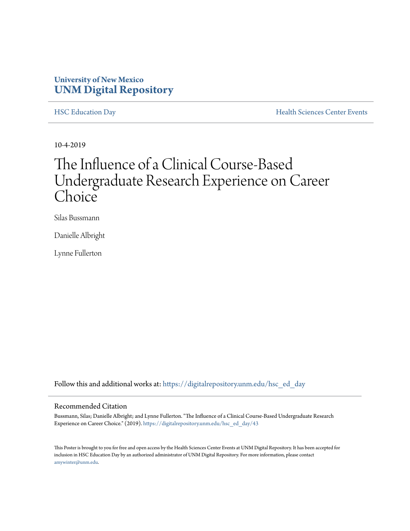#### **University of New Mexico [UNM Digital Repository](https://digitalrepository.unm.edu/?utm_source=digitalrepository.unm.edu%2Fhsc_ed_day%2F43&utm_medium=PDF&utm_campaign=PDFCoverPages)**

[HSC Education Day](https://digitalrepository.unm.edu/hsc_ed_day?utm_source=digitalrepository.unm.edu%2Fhsc_ed_day%2F43&utm_medium=PDF&utm_campaign=PDFCoverPages) **[Health Sciences Center Events](https://digitalrepository.unm.edu/hsc_events?utm_source=digitalrepository.unm.edu%2Fhsc_ed_day%2F43&utm_medium=PDF&utm_campaign=PDFCoverPages)** 

10-4-2019

#### The Influence of a Clinical Course-Based Undergraduate Research Experience on Career Choice

Silas Bussmann

Danielle Albright

Lynne Fullerton

Follow this and additional works at: [https://digitalrepository.unm.edu/hsc\\_ed\\_day](https://digitalrepository.unm.edu/hsc_ed_day?utm_source=digitalrepository.unm.edu%2Fhsc_ed_day%2F43&utm_medium=PDF&utm_campaign=PDFCoverPages)

#### Recommended Citation

Bussmann, Silas; Danielle Albright; and Lynne Fullerton. "The Influence of a Clinical Course-Based Undergraduate Research Experience on Career Choice." (2019). [https://digitalrepository.unm.edu/hsc\\_ed\\_day/43](https://digitalrepository.unm.edu/hsc_ed_day/43?utm_source=digitalrepository.unm.edu%2Fhsc_ed_day%2F43&utm_medium=PDF&utm_campaign=PDFCoverPages)

This Poster is brought to you for free and open access by the Health Sciences Center Events at UNM Digital Repository. It has been accepted for inclusion in HSC Education Day by an authorized administrator of UNM Digital Repository. For more information, please contact [amywinter@unm.edu](mailto:amywinter@unm.edu).